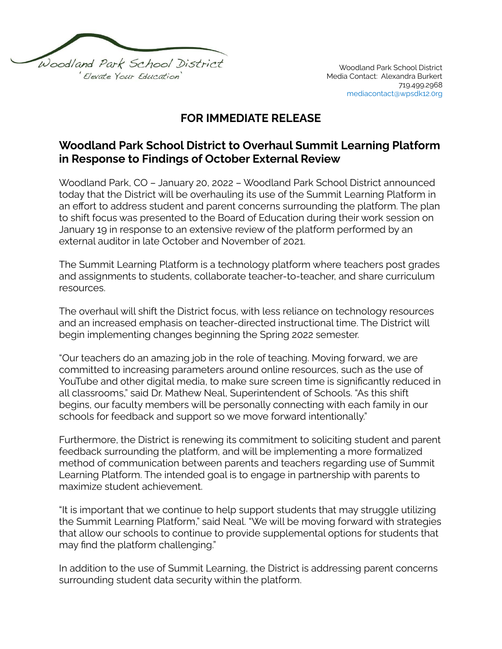

## **FOR IMMEDIATE RELEASE**

## **Woodland Park School District to Overhaul Summit Learning Platform in Response to Findings of October External Review**

Woodland Park, CO – January 20, 2022 – Woodland Park School District announced today that the District will be overhauling its use of the Summit Learning Platform in an effort to address student and parent concerns surrounding the platform. The plan to shift focus was presented to the Board of Education during their work session on January 19 in response to an extensive review of the platform performed by an external auditor in late October and November of 2021.

The Summit Learning Platform is a technology platform where teachers post grades and assignments to students, collaborate teacher-to-teacher, and share curriculum resources.

The overhaul will shift the District focus, with less reliance on technology resources and an increased emphasis on teacher-directed instructional time. The District will begin implementing changes beginning the Spring 2022 semester.

"Our teachers do an amazing job in the role of teaching. Moving forward, we are committed to increasing parameters around online resources, such as the use of YouTube and other digital media, to make sure screen time is significantly reduced in all classrooms," said Dr. Mathew Neal, Superintendent of Schools. "As this shift begins, our faculty members will be personally connecting with each family in our schools for feedback and support so we move forward intentionally."

Furthermore, the District is renewing its commitment to soliciting student and parent feedback surrounding the platform, and will be implementing a more formalized method of communication between parents and teachers regarding use of Summit Learning Platform. The intended goal is to engage in partnership with parents to maximize student achievement.

"It is important that we continue to help support students that may struggle utilizing the Summit Learning Platform," said Neal. "We will be moving forward with strategies that allow our schools to continue to provide supplemental options for students that may find the platform challenging."

In addition to the use of Summit Learning, the District is addressing parent concerns surrounding student data security within the platform.